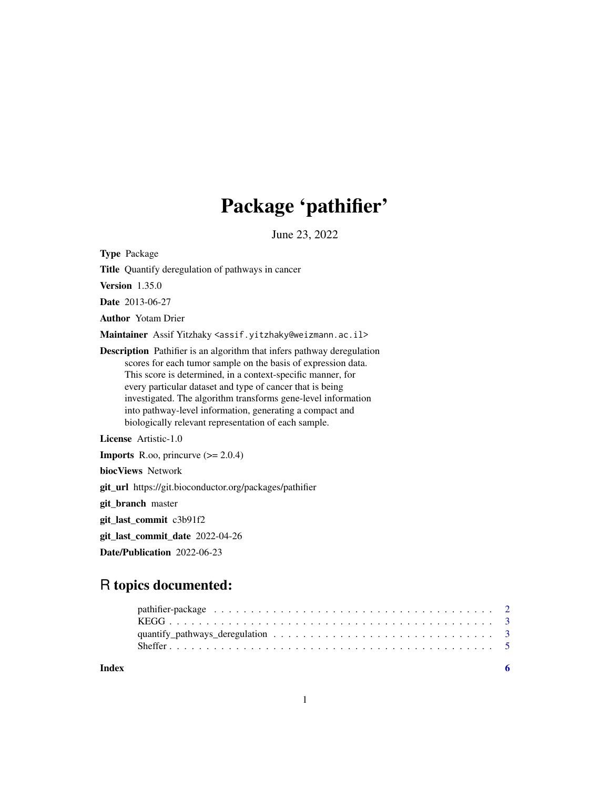## Package 'pathifier'

June 23, 2022

Type Package

Title Quantify deregulation of pathways in cancer

Version 1.35.0

Date 2013-06-27

Author Yotam Drier

Maintainer Assif Yitzhaky <assif.yitzhaky@weizmann.ac.il>

Description Pathifier is an algorithm that infers pathway deregulation scores for each tumor sample on the basis of expression data. This score is determined, in a context-specific manner, for every particular dataset and type of cancer that is being investigated. The algorithm transforms gene-level information into pathway-level information, generating a compact and biologically relevant representation of each sample.

License Artistic-1.0

**Imports** R.oo, princurve  $(>= 2.0.4)$ biocViews Network git\_url https://git.bioconductor.org/packages/pathifier git\_branch master git\_last\_commit c3b91f2 git\_last\_commit\_date 2022-04-26

Date/Publication 2022-06-23

## R topics documented:

**Index** [6](#page-5-0) **6**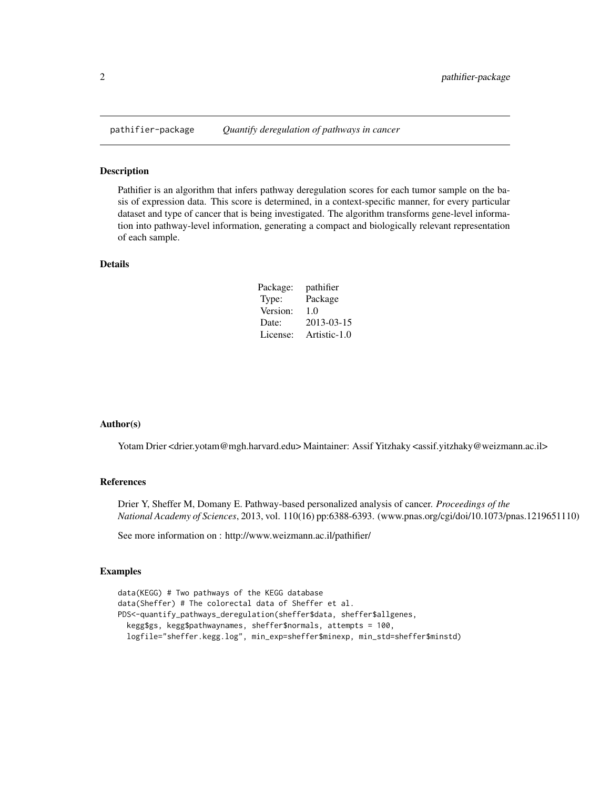<span id="page-1-0"></span>

### Description

Pathifier is an algorithm that infers pathway deregulation scores for each tumor sample on the basis of expression data. This score is determined, in a context-specific manner, for every particular dataset and type of cancer that is being investigated. The algorithm transforms gene-level information into pathway-level information, generating a compact and biologically relevant representation of each sample.

## Details

| Package: | pathifier    |
|----------|--------------|
| Type:    | Package      |
| Version: | 1.0          |
| Date:    | 2013-03-15   |
| License: | Artistic-1.0 |

## Author(s)

Yotam Drier <drier.yotam@mgh.harvard.edu> Maintainer: Assif Yitzhaky <assif.yitzhaky@weizmann.ac.il>

## References

Drier Y, Sheffer M, Domany E. Pathway-based personalized analysis of cancer. *Proceedings of the National Academy of Sciences*, 2013, vol. 110(16) pp:6388-6393. (www.pnas.org/cgi/doi/10.1073/pnas.1219651110)

See more information on : http://www.weizmann.ac.il/pathifier/

## Examples

```
data(KEGG) # Two pathways of the KEGG database
data(Sheffer) # The colorectal data of Sheffer et al.
PDS<-quantify_pathways_deregulation(sheffer$data, sheffer$allgenes,
 kegg$gs, kegg$pathwaynames, sheffer$normals, attempts = 100,
 logfile="sheffer.kegg.log", min_exp=sheffer$minexp, min_std=sheffer$minstd)
```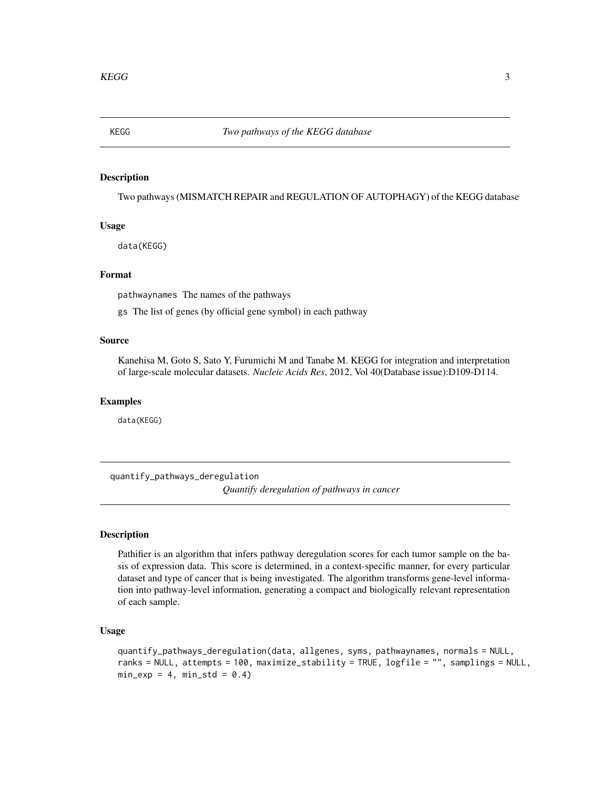<span id="page-2-0"></span>

## Description

Two pathways (MISMATCH REPAIR and REGULATION OF AUTOPHAGY) of the KEGG database

## Usage

data(KEGG)

## Format

pathwaynames The names of the pathways

gs The list of genes (by official gene symbol) in each pathway

## Source

Kanehisa M, Goto S, Sato Y, Furumichi M and Tanabe M. KEGG for integration and interpretation of large-scale molecular datasets. *Nucleic Acids Res*, 2012, Vol 40(Database issue):D109-D114.

## Examples

data(KEGG)

quantify\_pathways\_deregulation *Quantify deregulation of pathways in cancer*

## Description

Pathifier is an algorithm that infers pathway deregulation scores for each tumor sample on the basis of expression data. This score is determined, in a context-specific manner, for every particular dataset and type of cancer that is being investigated. The algorithm transforms gene-level information into pathway-level information, generating a compact and biologically relevant representation of each sample.

## Usage

```
quantify_pathways_deregulation(data, allgenes, syms, pathwaynames, normals = NULL,
ranks = NULL, attempts = 100, maximize_stability = TRUE, logfile = "", samplings = NULL,
min\_exp = 4, min\_std = 0.4)
```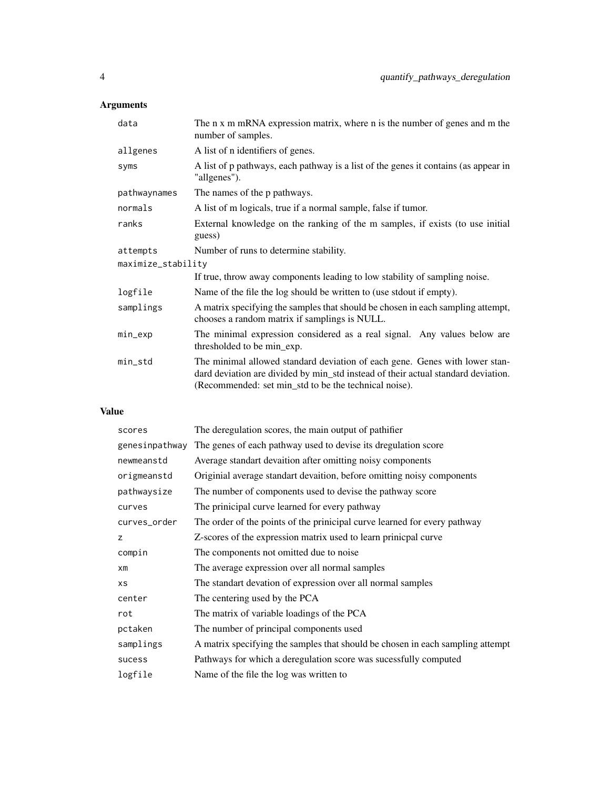## Arguments

| data               | The n x m mRNA expression matrix, where n is the number of genes and m the<br>number of samples.                                                                                                                          |  |  |  |
|--------------------|---------------------------------------------------------------------------------------------------------------------------------------------------------------------------------------------------------------------------|--|--|--|
| allgenes           | A list of n identifiers of genes.                                                                                                                                                                                         |  |  |  |
| syms               | A list of p pathways, each pathway is a list of the genes it contains (as appear in<br>"allgenes").                                                                                                                       |  |  |  |
| pathwaynames       | The names of the p pathways.                                                                                                                                                                                              |  |  |  |
| normals            | A list of m logicals, true if a normal sample, false if tumor.                                                                                                                                                            |  |  |  |
| ranks              | External knowledge on the ranking of the m samples, if exists (to use initial<br>guess)                                                                                                                                   |  |  |  |
| attempts           | Number of runs to determine stability.                                                                                                                                                                                    |  |  |  |
| maximize_stability |                                                                                                                                                                                                                           |  |  |  |
|                    | If true, throw away components leading to low stability of sampling noise.                                                                                                                                                |  |  |  |
| logfile            | Name of the file the log should be written to (use stdout if empty).                                                                                                                                                      |  |  |  |
| samplings          | A matrix specifying the samples that should be chosen in each sampling attempt,<br>chooses a random matrix if samplings is NULL.                                                                                          |  |  |  |
| min_exp            | The minimal expression considered as a real signal. Any values below are<br>thresholded to be min_exp.                                                                                                                    |  |  |  |
| $min\_std$         | The minimal allowed standard deviation of each gene. Genes with lower stan-<br>dard deviation are divided by min_std instead of their actual standard deviation.<br>(Recommended: set min_std to be the technical noise). |  |  |  |

## Value

| scores         | The deregulation scores, the main output of pathifier                          |
|----------------|--------------------------------------------------------------------------------|
| genesinpathway | The genes of each pathway used to devise its dregulation score                 |
| newmeanstd     | Average standart devaition after omitting noisy components                     |
| origmeanstd    | Originial average standart devaition, before omitting noisy components         |
| pathwaysize    | The number of components used to devise the pathway score                      |
| curves         | The prinicipal curve learned for every pathway                                 |
| curves_order   | The order of the points of the prinicipal curve learned for every pathway      |
| z              | Z-scores of the expression matrix used to learn prinicpal curve                |
| compin         | The components not omitted due to noise                                        |
| $x$ m          | The average expression over all normal samples                                 |
| <b>XS</b>      | The standart devation of expression over all normal samples                    |
| center         | The centering used by the PCA                                                  |
| rot            | The matrix of variable loadings of the PCA                                     |
| pctaken        | The number of principal components used                                        |
| samplings      | A matrix specifying the samples that should be chosen in each sampling attempt |
| sucess         | Pathways for which a deregulation score was sucessfully computed               |
| logfile        | Name of the file the log was written to                                        |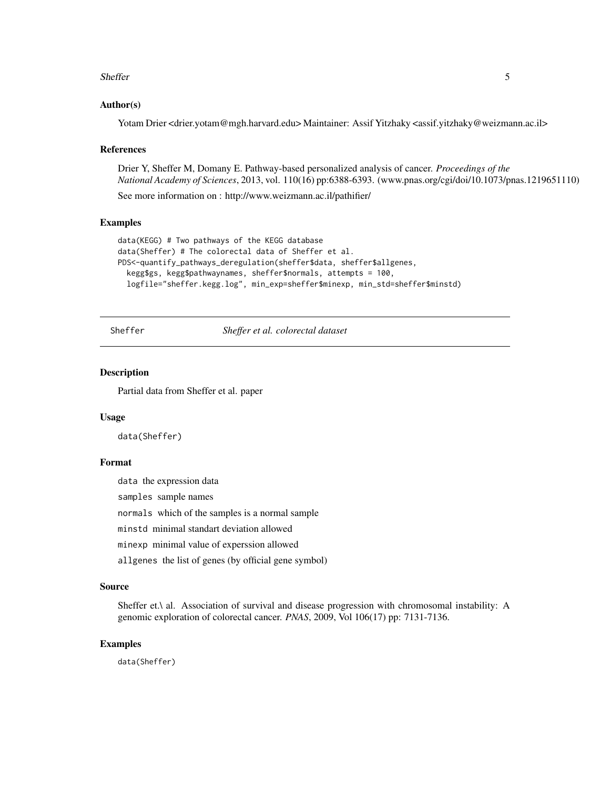### <span id="page-4-0"></span>Sheffer 5

## Author(s)

Yotam Drier <drier.yotam@mgh.harvard.edu> Maintainer: Assif Yitzhaky <assif.yitzhaky@weizmann.ac.il>

#### References

Drier Y, Sheffer M, Domany E. Pathway-based personalized analysis of cancer. *Proceedings of the National Academy of Sciences*, 2013, vol. 110(16) pp:6388-6393. (www.pnas.org/cgi/doi/10.1073/pnas.1219651110)

See more information on : http://www.weizmann.ac.il/pathifier/

## Examples

```
data(KEGG) # Two pathways of the KEGG database
data(Sheffer) # The colorectal data of Sheffer et al.
PDS<-quantify_pathways_deregulation(sheffer$data, sheffer$allgenes,
 kegg$gs, kegg$pathwaynames, sheffer$normals, attempts = 100,
 logfile="sheffer.kegg.log", min_exp=sheffer$minexp, min_std=sheffer$minstd)
```
Sheffer *Sheffer et al. colorectal dataset*

## Description

Partial data from Sheffer et al. paper

## Usage

data(Sheffer)

## Format

data the expression data

samples sample names

normals which of the samples is a normal sample

minstd minimal standart deviation allowed

minexp minimal value of experssion allowed

allgenes the list of genes (by official gene symbol)

## Source

Sheffer et.\ al. Association of survival and disease progression with chromosomal instability: A genomic exploration of colorectal cancer. *PNAS*, 2009, Vol 106(17) pp: 7131-7136.

### Examples

data(Sheffer)